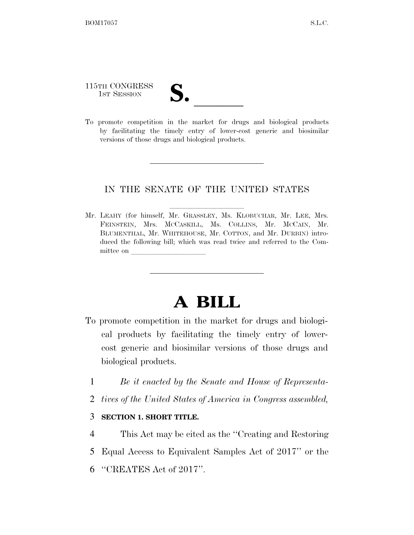## 115TH CONGRESS

115TH CONGRESS<br>
1ST SESSION<br>
To promote competition in the market for drugs and biological products by facilitating the timely entry of lower-cost generic and biosimilar versions of those drugs and biological products.

## IN THE SENATE OF THE UNITED STATES

Mr. LEAHY (for himself, Mr. GRASSLEY, Ms. KLOBUCHAR, Mr. LEE, Mrs. FEINSTEIN, Mrs. MCCASKILL, Ms. COLLINS, Mr. MCCAIN, Mr. BLUMENTHAL, Mr. WHITEHOUSE, Mr. COTTON, and Mr. DURBIN) introduced the following bill; which was read twice and referred to the Committee on

## **A BILL**

- To promote competition in the market for drugs and biological products by facilitating the timely entry of lowercost generic and biosimilar versions of those drugs and biological products.
	- 1 *Be it enacted by the Senate and House of Representa-*
	- 2 *tives of the United States of America in Congress assembled,*
	- 3 **SECTION 1. SHORT TITLE.**
	- 4 This Act may be cited as the ''Creating and Restoring
	- 5 Equal Access to Equivalent Samples Act of 2017'' or the
	- 6 ''CREATES Act of 2017''.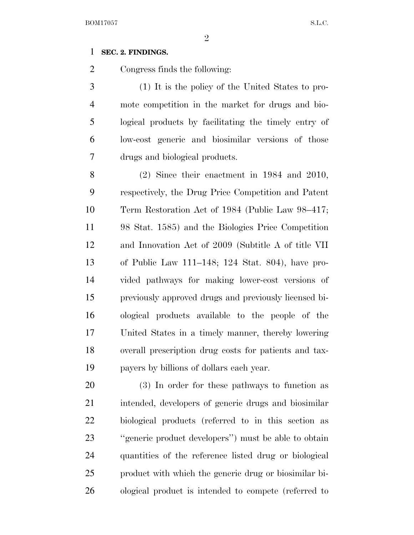## **SEC. 2. FINDINGS.**

Congress finds the following:

 (1) It is the policy of the United States to pro- mote competition in the market for drugs and bio- logical products by facilitating the timely entry of low-cost generic and biosimilar versions of those drugs and biological products.

 (2) Since their enactment in 1984 and 2010, respectively, the Drug Price Competition and Patent Term Restoration Act of 1984 (Public Law 98–417; 98 Stat. 1585) and the Biologics Price Competition and Innovation Act of 2009 (Subtitle A of title VII of Public Law 111–148; 124 Stat. 804), have pro- vided pathways for making lower-cost versions of previously approved drugs and previously licensed bi- ological products available to the people of the United States in a timely manner, thereby lowering overall prescription drug costs for patients and tax-payers by billions of dollars each year.

 (3) In order for these pathways to function as intended, developers of generic drugs and biosimilar biological products (referred to in this section as ''generic product developers'') must be able to obtain quantities of the reference listed drug or biological product with which the generic drug or biosimilar bi-ological product is intended to compete (referred to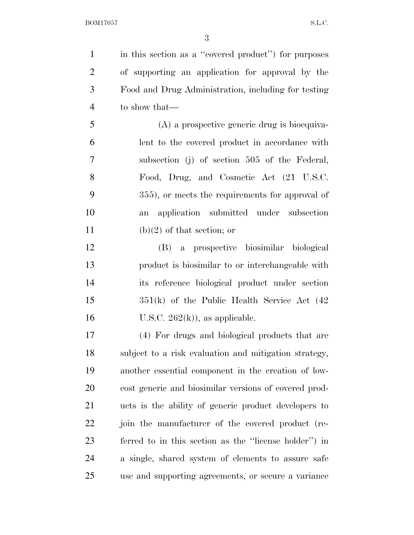in this section as a ''covered product'') for purposes of supporting an application for approval by the Food and Drug Administration, including for testing to show that—

 (A) a prospective generic drug is bioequiva- lent to the covered product in accordance with subsection (j) of section 505 of the Federal, Food, Drug, and Cosmetic Act (21 U.S.C. 355), or meets the requirements for approval of an application submitted under subsection 11 (b)(2) of that section; or

 (B) a prospective biosimilar biological product is biosimilar to or interchangeable with its reference biological product under section 351(k) of the Public Health Service Act (42 16 U.S.C.  $262(k)$ , as applicable.

 (4) For drugs and biological products that are subject to a risk evaluation and mitigation strategy, another essential component in the creation of low- cost generic and biosimilar versions of covered prod- ucts is the ability of generic product developers to join the manufacturer of the covered product (re- ferred to in this section as the ''license holder'') in a single, shared system of elements to assure safe use and supporting agreements, or secure a variance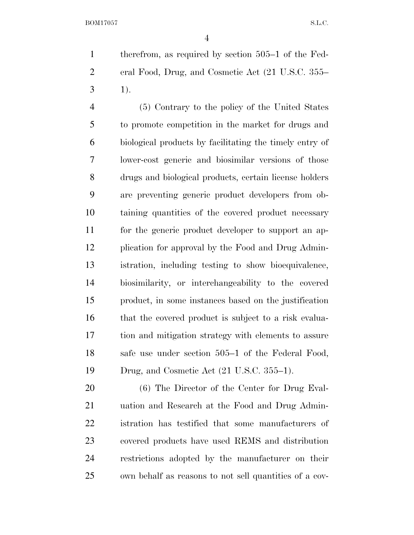therefrom, as required by section 505–1 of the Fed- eral Food, Drug, and Cosmetic Act (21 U.S.C. 355–  $3 \t 1)$ .

 (5) Contrary to the policy of the United States to promote competition in the market for drugs and biological products by facilitating the timely entry of lower-cost generic and biosimilar versions of those drugs and biological products, certain license holders are preventing generic product developers from ob- taining quantities of the covered product necessary for the generic product developer to support an ap- plication for approval by the Food and Drug Admin- istration, including testing to show bioequivalence, biosimilarity, or interchangeability to the covered product, in some instances based on the justification 16 that the covered product is subject to a risk evalua- tion and mitigation strategy with elements to assure safe use under section 505–1 of the Federal Food, Drug, and Cosmetic Act (21 U.S.C. 355–1).

 (6) The Director of the Center for Drug Eval- uation and Research at the Food and Drug Admin- istration has testified that some manufacturers of covered products have used REMS and distribution restrictions adopted by the manufacturer on their own behalf as reasons to not sell quantities of a cov-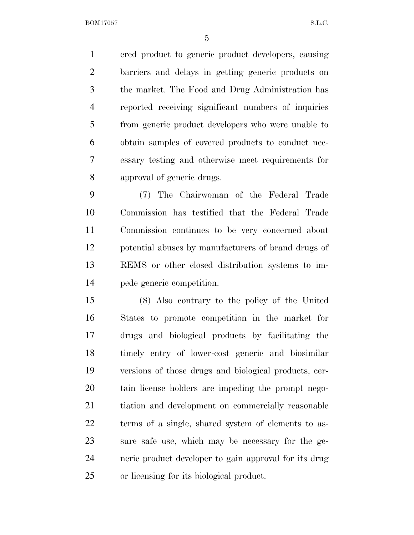ered product to generic product developers, causing barriers and delays in getting generic products on the market. The Food and Drug Administration has reported receiving significant numbers of inquiries from generic product developers who were unable to obtain samples of covered products to conduct nec- essary testing and otherwise meet requirements for approval of generic drugs.

 (7) The Chairwoman of the Federal Trade Commission has testified that the Federal Trade Commission continues to be very concerned about potential abuses by manufacturers of brand drugs of REMS or other closed distribution systems to im-pede generic competition.

 (8) Also contrary to the policy of the United States to promote competition in the market for drugs and biological products by facilitating the timely entry of lower-cost generic and biosimilar versions of those drugs and biological products, cer- tain license holders are impeding the prompt nego- tiation and development on commercially reasonable terms of a single, shared system of elements to as- sure safe use, which may be necessary for the ge- neric product developer to gain approval for its drug or licensing for its biological product.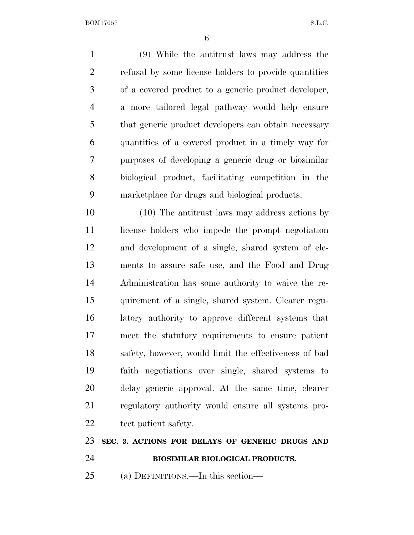(9) While the antitrust laws may address the refusal by some license holders to provide quantities of a covered product to a generic product developer, a more tailored legal pathway would help ensure that generic product developers can obtain necessary quantities of a covered product in a timely way for purposes of developing a generic drug or biosimilar biological product, facilitating competition in the marketplace for drugs and biological products.

 (10) The antitrust laws may address actions by 11 license holders who impede the prompt negotiation and development of a single, shared system of ele- ments to assure safe use, and the Food and Drug Administration has some authority to waive the re- quirement of a single, shared system. Clearer regu- latory authority to approve different systems that meet the statutory requirements to ensure patient safety, however, would limit the effectiveness of bad faith negotiations over single, shared systems to delay generic approval. At the same time, clearer regulatory authority would ensure all systems pro-22 tect patient safety.

**SEC. 3. ACTIONS FOR DELAYS OF GENERIC DRUGS AND** 

- **BIOSIMILAR BIOLOGICAL PRODUCTS.**
- (a) DEFINITIONS.—In this section—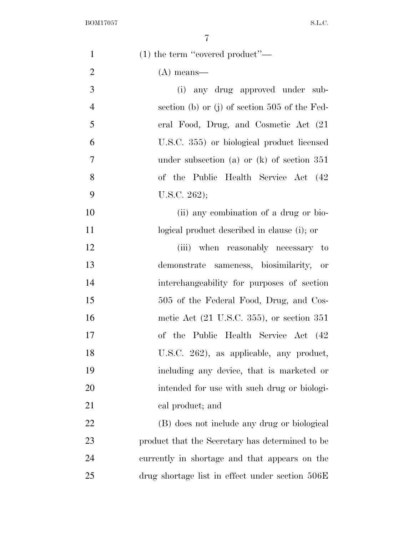| $\mathbf{1}$   | $(1)$ the term "covered product"—                       |
|----------------|---------------------------------------------------------|
| $\overline{2}$ | $(A)$ means—                                            |
| 3              | (i) any drug approved under sub-                        |
| $\overline{4}$ | section (b) or (j) of section $505$ of the Fed-         |
| 5              | eral Food, Drug, and Cosmetic Act (21                   |
| 6              | U.S.C. 355) or biological product licensed              |
| 7              | under subsection (a) or $(k)$ of section 351            |
| 8              | of the Public Health Service Act (42)                   |
| 9              | U.S.C. $262$ );                                         |
| 10             | (ii) any combination of a drug or bio-                  |
| 11             | logical product described in clause (i); or             |
| 12             | (iii) when reasonably necessary to                      |
| 13             | demonstrate sameness, biosimilarity, or                 |
| 14             | interchangeability for purposes of section              |
| 15             | 505 of the Federal Food, Drug, and Cos-                 |
| 16             | metic Act $(21 \text{ U.S.C. } 355)$ , or section $351$ |
| 17             | of the Public Health Service Act (42                    |
| 18             | U.S.C. 262), as applicable, any product,                |
| 19             | including any device, that is marketed or               |
| 20             | intended for use with such drug or biologi-             |
| 21             | cal product; and                                        |
| 22             | (B) does not include any drug or biological             |
| 23             | product that the Secretary has determined to be         |
| 24             | currently in shortage and that appears on the           |
| 25             | drug shortage list in effect under section 506E         |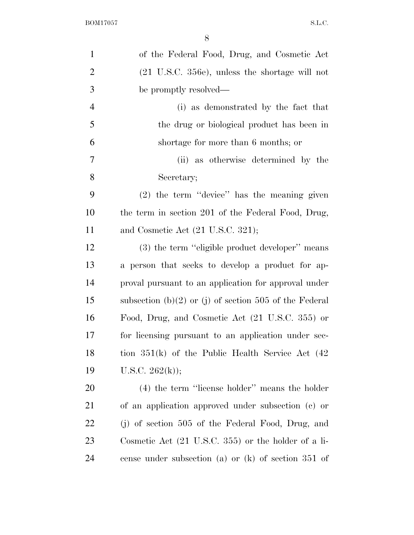| $\mathbf{1}$   | of the Federal Food, Drug, and Cosmetic Act                    |
|----------------|----------------------------------------------------------------|
| $\overline{2}$ | $(21 \t{U.S.C. } 356e)$ , unless the shortage will not         |
| 3              | be promptly resolved—                                          |
| $\overline{4}$ | (i) as demonstrated by the fact that                           |
| 5              | the drug or biological product has been in                     |
| 6              | shortage for more than 6 months; or                            |
| 7              | (ii) as otherwise determined by the                            |
| 8              | Secretary;                                                     |
| 9              | $(2)$ the term "device" has the meaning given                  |
| 10             | the term in section 201 of the Federal Food, Drug,             |
| 11             | and Cosmetic Act $(21 \text{ U.S.C. } 321);$                   |
| 12             | (3) the term "eligible product developer" means                |
| 13             | a person that seeks to develop a product for ap-               |
| 14             | proval pursuant to an application for approval under           |
| 15             | subsection (b)(2) or (j) of section 505 of the Federal         |
| 16             | Food, Drug, and Cosmetic Act (21 U.S.C. 355) or                |
| 17             | for licensing pursuant to an application under sec-            |
| 18             | tion $351(k)$ of the Public Health Service Act $(42)$          |
| 19             | U.S.C. $262(k)$ ;                                              |
| 20             | $(4)$ the term "license holder" means the holder               |
| 21             | of an application approved under subsection (c) or             |
| 22             | $(j)$ of section 505 of the Federal Food, Drug, and            |
| 23             | Cosmetic Act $(21 \text{ U.S.C. } 355)$ or the holder of a li- |
| 24             | cense under subsection (a) or $(k)$ of section 351 of          |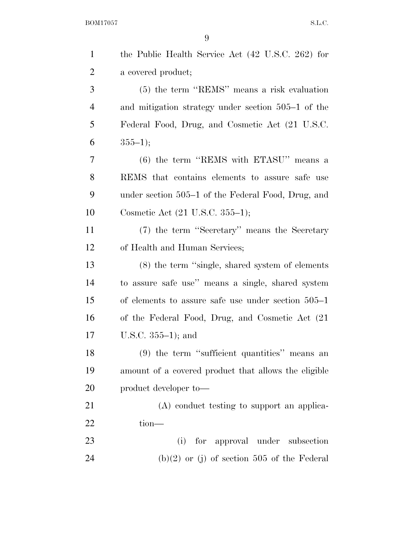| $\mathbf{1}$   | the Public Health Service Act (42 U.S.C. 262) for    |
|----------------|------------------------------------------------------|
| $\overline{2}$ | a covered product;                                   |
| 3              | (5) the term "REMS" means a risk evaluation          |
| $\overline{4}$ | and mitigation strategy under section 505–1 of the   |
| 5              | Federal Food, Drug, and Cosmetic Act (21 U.S.C.      |
| 6              | $355-1);$                                            |
| 7              | $(6)$ the term "REMS with ETASU" means a             |
| 8              | REMS that contains elements to assure safe use       |
| 9              | under section 505–1 of the Federal Food, Drug, and   |
| 10             | Cosmetic Act (21 U.S.C. 355–1);                      |
| 11             | (7) the term "Secretary" means the Secretary         |
| 12             | of Health and Human Services;                        |
| 13             | $(8)$ the term "single, shared system of elements    |
| 14             | to assure safe use" means a single, shared system    |
| 15             | of elements to assure safe use under section $505-1$ |
| 16             | of the Federal Food, Drug, and Cosmetic Act (21)     |
| 17             | U.S.C. $355-1$ ; and                                 |
| 18             | (9) the term "sufficient quantities" means an        |
| 19             | amount of a covered product that allows the eligible |
| 20             | product developer to-                                |
| 21             | (A) conduct testing to support an applica-           |
| 22             | $tion-$                                              |
| 23             | for approval under subsection<br>(i)                 |
| 24             | $(b)(2)$ or (j) of section 505 of the Federal        |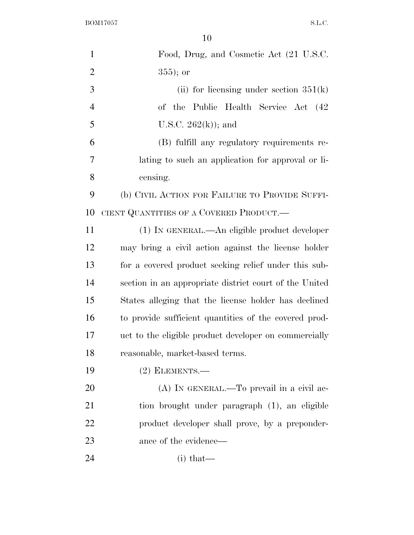| $\mathbf{1}$   | Food, Drug, and Cosmetic Act (21 U.S.C.                |
|----------------|--------------------------------------------------------|
| $\overline{2}$ | $355$ ; or                                             |
| 3              | (ii) for licensing under section $351(k)$              |
| $\overline{4}$ | of the Public Health Service Act (42)                  |
| 5              | U.S.C. $262(k)$ ; and                                  |
| 6              | (B) fulfill any regulatory requirements re-            |
| 7              | lating to such an application for approval or li-      |
| 8              | censing.                                               |
| 9              | (b) CIVIL ACTION FOR FAILURE TO PROVIDE SUFFI-         |
| 10             | CIENT QUANTITIES OF A COVERED PRODUCT.—                |
| 11             | (1) IN GENERAL.—An eligible product developer          |
| 12             | may bring a civil action against the license holder    |
| 13             | for a covered product seeking relief under this sub-   |
| 14             | section in an appropriate district court of the United |
| 15             | States alleging that the license holder has declined   |
| 16             | to provide sufficient quantities of the covered prod-  |
| 17             | uct to the eligible product developer on commercially  |
| 18             | reasonable, market-based terms.                        |
| 19             | $(2)$ ELEMENTS.—                                       |
| 20             | (A) IN GENERAL.—To prevail in a civil ac-              |
| 21             | tion brought under paragraph (1), an eligible          |
| 22             | product developer shall prove, by a preponder-         |
| 23             | ance of the evidence—                                  |
| 24             | $(i)$ that—                                            |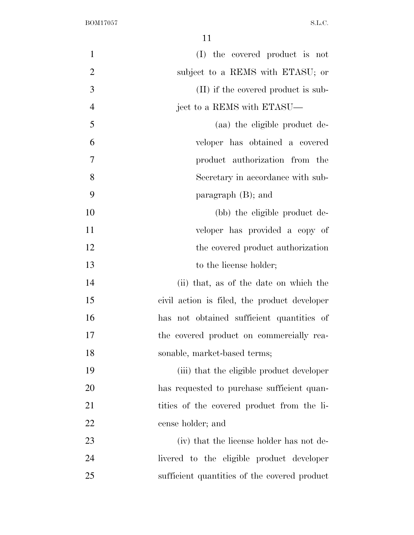| $\mathbf{1}$   | (I) the covered product is not               |
|----------------|----------------------------------------------|
| $\mathfrak{2}$ | subject to a REMS with ETASU; or             |
| 3              | (II) if the covered product is sub-          |
| $\overline{4}$ | ject to a REMS with ETASU—                   |
| 5              | (aa) the eligible product de-                |
| 6              | veloper has obtained a covered               |
| 7              | product authorization from the               |
| 8              | Secretary in accordance with sub-            |
| 9              | paragraph $(B)$ ; and                        |
| 10             | (bb) the eligible product de-                |
| 11             | veloper has provided a copy of               |
| 12             | the covered product authorization            |
| 13             | to the license holder;                       |
| 14             | (ii) that, as of the date on which the       |
| 15             | civil action is filed, the product developer |
| 16             | has not obtained sufficient quantities of    |
| 17             | the covered product on commercially rea-     |
| 18             | sonable, market-based terms;                 |
| 19             | (iii) that the eligible product developer    |
| 20             | has requested to purchase sufficient quan-   |
| 21             | tities of the covered product from the li-   |
| 22             | cense holder; and                            |
| 23             | (iv) that the license holder has not de-     |
| 24             | livered to the eligible product developer    |
| 25             | sufficient quantities of the covered product |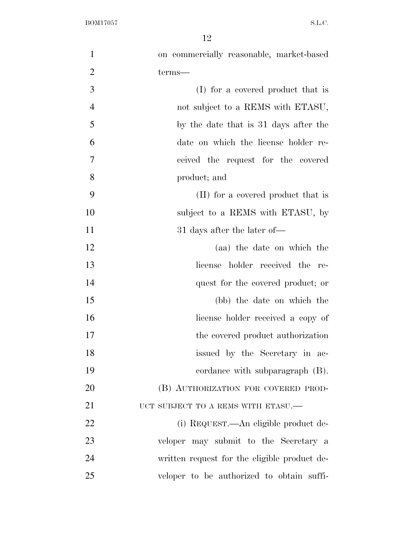| $\mathbf{1}$   | on commercially reasonable, market-based     |
|----------------|----------------------------------------------|
| $\overline{2}$ | terms—                                       |
| 3              | (I) for a covered product that is            |
| $\overline{4}$ | not subject to a REMS with ETASU,            |
| 5              | by the date that is 31 days after the        |
| 6              | date on which the license holder re-         |
| $\tau$         | ceived the request for the covered           |
| 8              | product; and                                 |
| 9              | (II) for a covered product that is           |
| 10             | subject to a REMS with ETASU, by             |
| 11             | 31 days after the later of—                  |
| 12             | (aa) the date on which the                   |
| 13             | license holder received the re-              |
| 14             | quest for the covered product; or            |
| 15             | (bb) the date on which the                   |
| 16             | license holder received a copy of            |
| 17             | the covered product authorization            |
| 18             | issued by the Secretary in ac-               |
| 19             | cordance with subparagraph (B).              |
| 20             | (B) AUTHORIZATION FOR COVERED PROD-          |
| 21             | UCT SUBJECT TO A REMS WITH ETASU.—           |
| 22             | (i) REQUEST.—An eligible product de-         |
| 23             | veloper may submit to the Secretary a        |
| 24             | written request for the eligible product de- |
| 25             | veloper to be authorized to obtain suffi-    |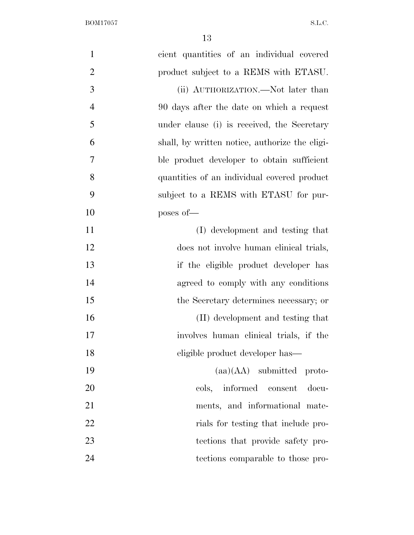$\begin{minipage}{.4\linewidth} \textbf{BOM17057} \end{minipage}$ 

| cient quantities of an individual covered<br>$\mathbf{1}$   |                             |
|-------------------------------------------------------------|-----------------------------|
| $\overline{2}$<br>product subject to a REMS with ETASU.     |                             |
| 3<br>(ii) AUTHORIZATION.—Not later than                     |                             |
| $\overline{4}$<br>90 days after the date on which a request |                             |
| 5<br>under clause (i) is received, the Secretary            |                             |
| 6<br>shall, by written notice, authorize the eligi-         |                             |
| $\tau$<br>ble product developer to obtain sufficient        |                             |
| 8<br>quantities of an individual covered product            |                             |
| 9<br>subject to a REMS with ETASU for pur-                  |                             |
| 10<br>poses of-                                             |                             |
| 11<br>(I) development and testing that                      |                             |
| 12<br>does not involve human clinical trials,               |                             |
| 13<br>if the eligible product developer has                 |                             |
| 14<br>agreed to comply with any conditions                  |                             |
| 15<br>the Secretary determines necessary; or                |                             |
| 16<br>(II) development and testing that                     |                             |
| 17<br>involves human clinical trials, if the                |                             |
| 18<br>eligible product developer has—                       |                             |
| 19                                                          | $(aa)(AA)$ submitted proto- |
| 20<br>cols, informed consent                                | docu-                       |
| 21<br>ments, and informational mate-                        |                             |
| 22<br>rials for testing that include pro-                   |                             |
| 23<br>tections that provide safety pro-                     |                             |
| 24<br>tections comparable to those pro-                     |                             |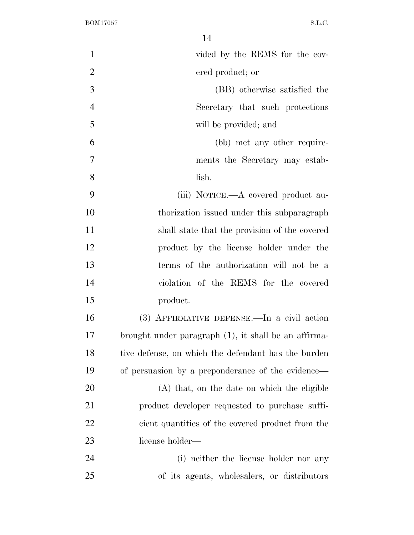$\begin{minipage}{.4\linewidth} \textbf{BOM17057} \end{minipage}$ 

| $\mathbf{1}$   | vided by the REMS for the cov-                       |
|----------------|------------------------------------------------------|
| $\overline{2}$ | ered product; or                                     |
| 3              | (BB) otherwise satisfied the                         |
| $\overline{4}$ | Secretary that such protections                      |
| 5              | will be provided; and                                |
| 6              | (bb) met any other require-                          |
| 7              | ments the Secretary may estab-                       |
| 8              | lish.                                                |
| 9              | (iii) NOTICE.—A covered product au-                  |
| 10             | thorization issued under this subparagraph           |
| 11             | shall state that the provision of the covered        |
| 12             | product by the license holder under the              |
| 13             | terms of the authorization will not be a             |
| 14             | violation of the REMS for the covered                |
| 15             | product.                                             |
| 16             | (3) AFFIRMATIVE DEFENSE.—In a civil action           |
| 17             | brought under paragraph (1), it shall be an affirma- |
| 18             | tive defense, on which the defendant has the burden  |
| 19             | of persuasion by a preponderance of the evidence—    |
| 20             | (A) that, on the date on which the eligible          |
| 21             | product developer requested to purchase suffi-       |
| 22             | cient quantities of the covered product from the     |
| 23             | license holder—                                      |
| 24             | (i) neither the license holder nor any               |
| 25             | of its agents, wholesalers, or distributors          |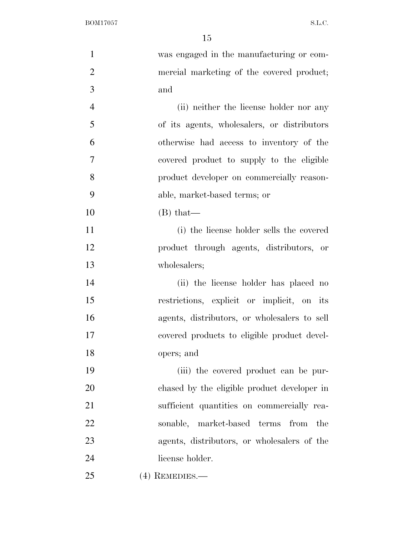| $\mathbf{1}$   | was engaged in the manufacturing or com-     |
|----------------|----------------------------------------------|
| $\overline{2}$ | mercial marketing of the covered product;    |
| 3              | and                                          |
| $\overline{4}$ | (ii) neither the license holder nor any      |
| 5              | of its agents, wholesalers, or distributors  |
| 6              | otherwise had access to inventory of the     |
| 7              | covered product to supply to the eligible    |
| 8              | product developer on commercially reason-    |
| 9              | able, market-based terms; or                 |
| 10             | $(B)$ that—                                  |
| 11             | (i) the license holder sells the covered     |
| 12             | product through agents, distributors, or     |
| 13             | wholesalers;                                 |
| 14             | (ii) the license holder has placed no        |
| 15             | restrictions, explicit or implicit, on its   |
| 16             | agents, distributors, or wholesalers to sell |
| 17             | covered products to eligible product devel-  |
| 18             | opers; and                                   |
| 19             | (iii) the covered product can be pur-        |
| 20             | chased by the eligible product developer in  |
| 21             | sufficient quantities on commercially rea-   |
| 22             | sonable, market-based terms<br>from<br>the   |
| 23             | agents, distributors, or wholesalers of the  |
| 24             | license holder.                              |
| 25             | $(4)$ REMEDIES.—                             |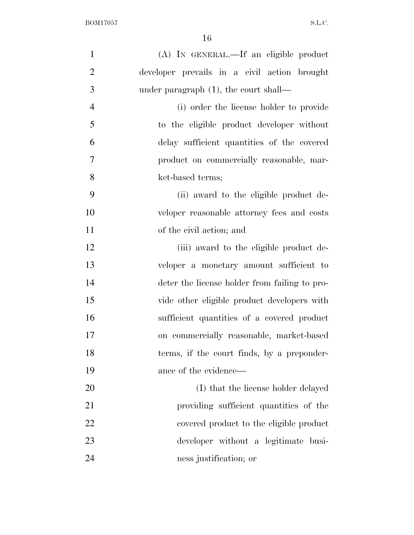| $\mathbf{1}$   | (A) IN GENERAL.—If an eligible product        |
|----------------|-----------------------------------------------|
| $\overline{2}$ | developer prevails in a civil action brought  |
| 3              | under paragraph $(1)$ , the court shall—      |
| $\overline{4}$ | (i) order the license holder to provide       |
| 5              | to the eligible product developer without     |
| 6              | delay sufficient quantities of the covered    |
| 7              | product on commercially reasonable, mar-      |
| 8              | ket-based terms;                              |
| 9              | (ii) award to the eligible product de-        |
| 10             | veloper reasonable attorney fees and costs    |
| 11             | of the civil action; and                      |
| 12             | (iii) award to the eligible product de-       |
| 13             | veloper a monetary amount sufficient to       |
| 14             | deter the license holder from failing to pro- |
| 15             | vide other eligible product developers with   |
| 16             | sufficient quantities of a covered product    |
| 17             | on commercially reasonable, market-based      |
| 18             | terms, if the court finds, by a preponder-    |
| 19             | ance of the evidence—                         |
| 20             | (I) that the license holder delayed           |
| 21             | providing sufficient quantities of the        |
| 22             | covered product to the eligible product       |
| 23             | developer without a legitimate busi-          |
| 24             | ness justification; or                        |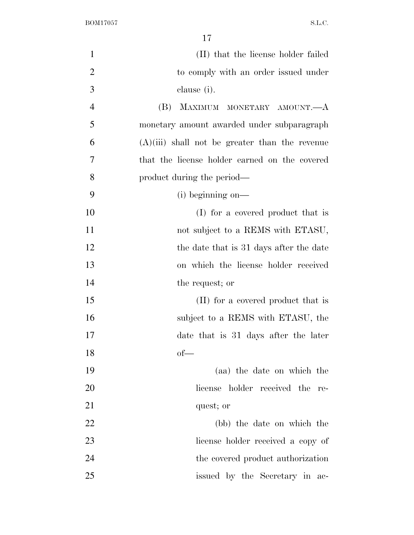| $\mathbf{1}$   | (II) that the license holder failed              |
|----------------|--------------------------------------------------|
| $\overline{2}$ | to comply with an order issued under             |
| 3              | clause (i).                                      |
| $\overline{4}$ | MAXIMUM MONETARY AMOUNT.—A<br>(B)                |
| 5              | monetary amount awarded under subparagraph       |
| 6              | $(A)(iii)$ shall not be greater than the revenue |
| 7              | that the license holder earned on the covered    |
| 8              | product during the period—                       |
| 9              | $(i)$ beginning on—                              |
| 10             | (I) for a covered product that is                |
| 11             | not subject to a REMS with ETASU,                |
| 12             | the date that is 31 days after the date          |
| 13             | on which the license holder received             |
| 14             | the request; or                                  |
| 15             | (II) for a covered product that is               |
| 16             | subject to a REMS with ETASU, the                |
| 17             | date that is 31 days after the later             |
| 18             | $of$ —                                           |
| 19             | (aa) the date on which the                       |
| 20             | license holder received the re-                  |
| 21             | quest; or                                        |
| 22             | (bb) the date on which the                       |
| 23             | license holder received a copy of                |
| 24             | the covered product authorization                |
| 25             | issued by the Secretary in ac-                   |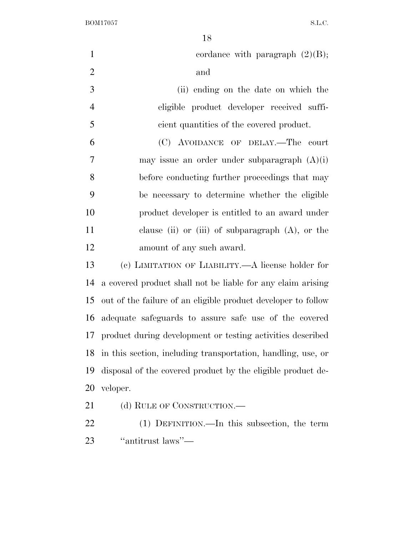$\begin{minipage}{.4\linewidth} \textbf{B} \textbf{0} \textbf{M} \textbf{1} \textbf{7} \textbf{0} \textbf{5} \textbf{7} \textbf{8} \textbf{.} \textbf{L} \textbf{.} \textbf{C} \textbf{.} \end{minipage}$ 

| $\mathbf{1}$   | cordance with paragraph $(2)(B)$ ;                            |
|----------------|---------------------------------------------------------------|
| $\overline{2}$ | and                                                           |
| 3              | (ii) ending on the date on which the                          |
| $\overline{4}$ | eligible product developer received suffi-                    |
| 5              | cient quantities of the covered product.                      |
| 6              | (C) AVOIDANCE OF DELAY.—The court                             |
| 7              | may issue an order under subparagraph $(A)(i)$                |
| 8              | before conducting further proceedings that may                |
| 9              | be necessary to determine whether the eligible                |
| 10             | product developer is entitled to an award under               |
| 11             | clause (ii) or (iii) of subparagraph $(A)$ , or the           |
| 12             | amount of any such award.                                     |
| 13             | (c) LIMITATION OF LIABILITY.—A license holder for             |
| 14             | a covered product shall not be liable for any claim arising   |
| 15             | out of the failure of an eligible product developer to follow |
| 16             | adequate safeguards to assure safe use of the covered         |
| 17             | product during development or testing activities described    |
| 18             | in this section, including transportation, handling, use, or  |
| 19             | disposal of the covered product by the eligible product de-   |
| 20             | veloper.                                                      |
| 21             | (d) RULE OF CONSTRUCTION.—                                    |
| 22             | (1) DEFINITION.—In this subsection, the term                  |

''antitrust laws''—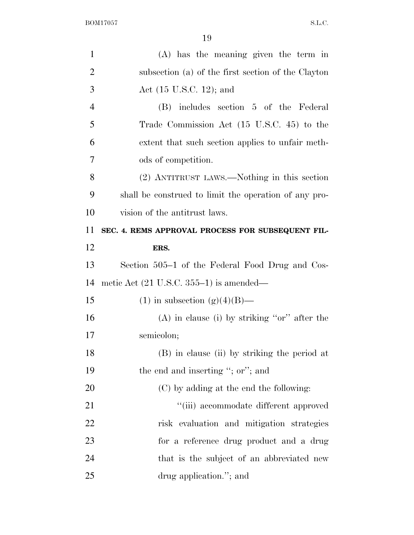| $\mathbf{1}$   | (A) has the meaning given the term in                 |
|----------------|-------------------------------------------------------|
| $\overline{2}$ | subsection (a) of the first section of the Clayton    |
| 3              | Act $(15 \text{ U.S.C. } 12)$ ; and                   |
| $\overline{4}$ | (B) includes section 5 of the Federal                 |
| 5              | Trade Commission Act (15 U.S.C. 45) to the            |
| 6              | extent that such section applies to unfair meth-      |
| 7              | ods of competition.                                   |
| 8              | (2) ANTITRUST LAWS.—Nothing in this section           |
| 9              | shall be construed to limit the operation of any pro- |
| 10             | vision of the antitrust laws.                         |
| 11             | SEC. 4. REMS APPROVAL PROCESS FOR SUBSEQUENT FIL-     |
| 12             | ERS.                                                  |
| 13             | Section 505–1 of the Federal Food Drug and Cos-       |
| 14             | metic Act $(21 \text{ U.S.C. } 355-1)$ is amended—    |
| 15             | $(1)$ in subsection $(g)(4)(B)$ —                     |
| 16             | $(A)$ in clause (i) by striking "or" after the        |
| 17             | semicolon;                                            |
| 18             | (B) in clause (ii) by striking the period at          |
| 19             | the end and inserting "; or"; and                     |
| 20             | (C) by adding at the end the following:               |
| 21             | "(iii) accommodate different approved                 |
| 22             | risk evaluation and mitigation strategies             |
| 23             | for a reference drug product and a drug               |
| 24             | that is the subject of an abbreviated new             |
| 25             | drug application."; and                               |